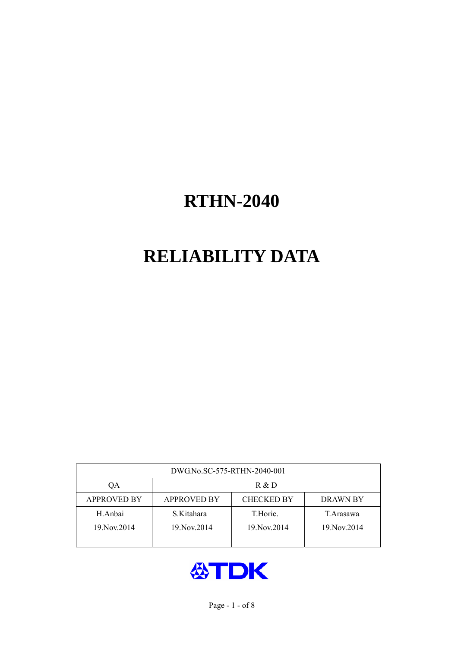# **RELIABILITY DATA**

| DWG.No.SC-575-RTHN-2040-001 |                                                     |               |               |  |  |  |  |
|-----------------------------|-----------------------------------------------------|---------------|---------------|--|--|--|--|
| OА                          | R & D                                               |               |               |  |  |  |  |
| <b>APPROVED BY</b>          | <b>CHECKED BY</b><br><b>APPROVED BY</b><br>DRAWN BY |               |               |  |  |  |  |
| H.Anbai                     | S.Kitahara                                          | T.Horie.      | T.Arasawa     |  |  |  |  |
| 19. Nov. 2014               | 19. Nov. 2014                                       | 19. Nov. 2014 | 19. Nov. 2014 |  |  |  |  |
|                             |                                                     |               |               |  |  |  |  |

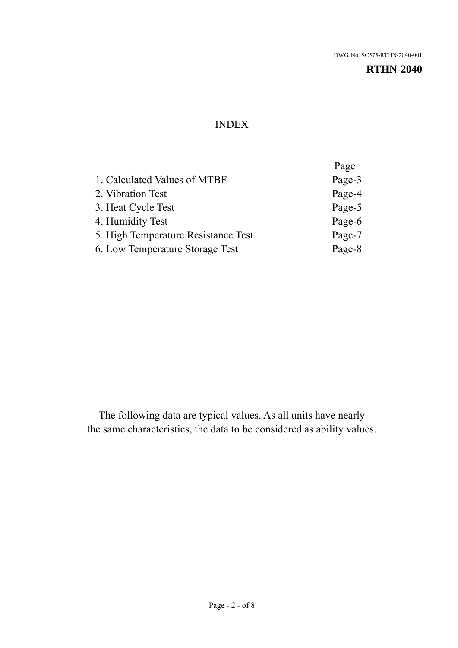#### INDEX

|                                     | Page   |
|-------------------------------------|--------|
| 1. Calculated Values of MTBF        | Page-3 |
| 2. Vibration Test                   | Page-4 |
| 3. Heat Cycle Test                  | Page-5 |
| 4. Humidity Test                    | Page-6 |
| 5. High Temperature Resistance Test | Page-7 |
| 6. Low Temperature Storage Test     | Page-8 |
|                                     |        |

The following data are typical values. As all units have nearly the same characteristics, the data to be considered as ability values.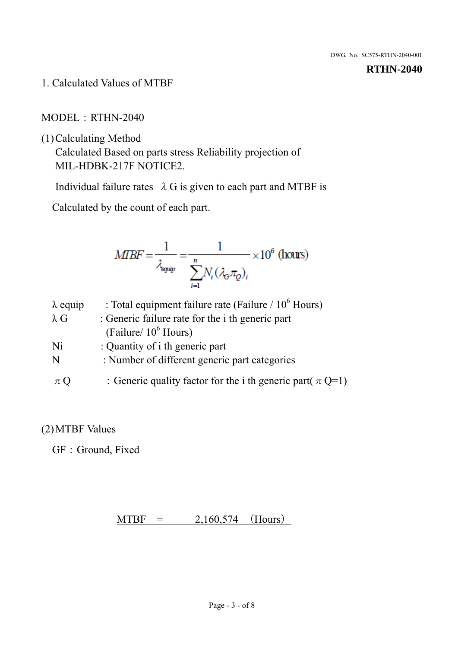1. Calculated Values of MTBF

MODEL:RTHN-2040

(1)Calculating Method

Calculated Based on parts stress Reliability projection of MIL-HDBK-217F NOTICE2.

Individual failure rates  $\lambda$  G is given to each part and MTBF is

Calculated by the count of each part.

$$
MBF = \frac{1}{\lambda_{\text{expip}}} = \frac{1}{\sum_{i=1}^{n} N_i (\lambda_{\text{G}} \pi_Q)_i} \times 10^6 \text{ (hours)}
$$

| $\lambda$ equip | : Total equipment failure rate (Failure $/ 10^6$ Hours)        |
|-----------------|----------------------------------------------------------------|
| $\lambda$ G     | : Generic failure rate for the <i>i</i> th generic part        |
|                 | (Failure/ $10^6$ Hours)                                        |
| Ni              | : Quantity of i th generic part                                |
| N               | : Number of different generic part categories                  |
| $\pi$ Q         | : Generic quality factor for the i th generic part( $\pi$ Q=1) |

## (2)MTBF Values

GF: Ground, Fixed

 $MTBF = 2,160,574$  (Hours)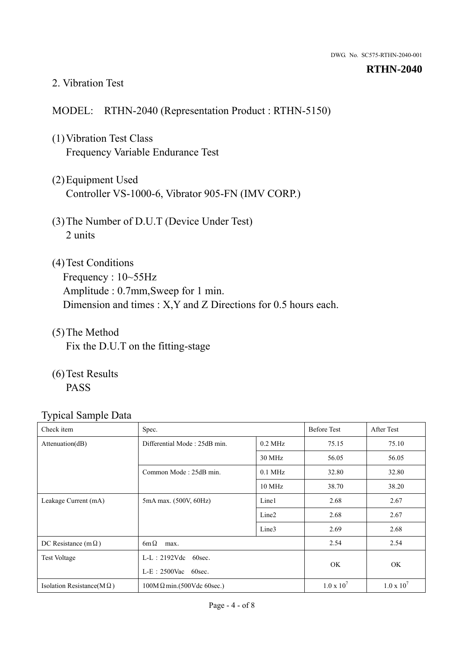#### 2. Vibration Test

#### MODEL: RTHN-2040 (Representation Product : RTHN-5150)

- (1)Vibration Test Class Frequency Variable Endurance Test
- (2)Equipment Used Controller VS-1000-6, Vibrator 905-FN (IMV CORP.)
- (3)The Number of D.U.T (Device Under Test) 2 units
- (4)Test Conditions Frequency : 10~55Hz Amplitude : 0.7mm,Sweep for 1 min. Dimension and times : X,Y and Z Directions for 0.5 hours each.
- (5)The Method Fix the D.U.T on the fitting-stage
- (6)Test Results PASS

| Check item                        | Spec.                            |                        | <b>Before Test</b> | After Test        |
|-----------------------------------|----------------------------------|------------------------|--------------------|-------------------|
| Attenuation(dB)                   | Differential Mode: 25dB min.     | $0.2$ MHz              | 75.15              | 75.10             |
|                                   |                                  | 30 MHz                 | 56.05              | 56.05             |
|                                   | Common Mode: 25dB min.           | $0.1$ MHz              | 32.80              | 32.80             |
|                                   |                                  | 10 MHz                 | 38.70              | 38.20             |
| Leakage Current (mA)              | 5mA max. (500V, 60Hz)            | Line1                  | 2.68               | 2.67              |
|                                   |                                  | Line <sub>2</sub>      | 2.68               | 2.67              |
|                                   |                                  | Line3                  | 2.69               | 2.68              |
| DC Resistance (m $\Omega$ )       | $6m\Omega$<br>max.               |                        |                    | 2.54              |
| <b>Test Voltage</b>               | $L-L: 2192Vdc$ 60sec.            | $L-E$ : 2500Vac 60sec. |                    |                   |
|                                   |                                  |                        |                    | OK                |
| Isolation Resistance( $M\Omega$ ) | $100M\Omega$ min.(500Vdc 60sec.) |                        | $1.0 \times 10^7$  | $1.0 \times 10^7$ |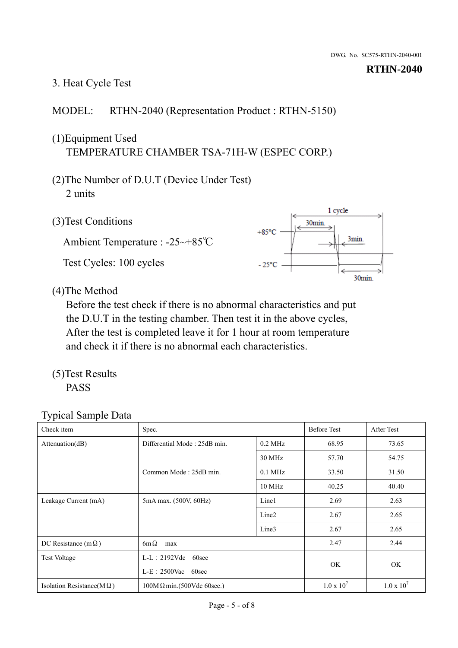# 3. Heat Cycle Test

### MODEL: RTHN-2040 (Representation Product : RTHN-5150)

## (1)Equipment Used TEMPERATURE CHAMBER TSA-71H-W (ESPEC CORP.)

- (2)The Number of D.U.T (Device Under Test) 2 units
- (3)Test Conditions

Ambient Temperature : -25~+85℃ Test Cycles: 100 cycles



(4)The Method

Before the test check if there is no abnormal characteristics and put the D.U.T in the testing chamber. Then test it in the above cycles, After the test is completed leave it for 1 hour at room temperature and check it if there is no abnormal each characteristics.

(5)Test Results PASS

| Check item                        | Spec.                                            |           | <b>Before Test</b> | After Test          |
|-----------------------------------|--------------------------------------------------|-----------|--------------------|---------------------|
| Attenuation(dB)                   | Differential Mode: 25dB min.                     | $0.2$ MHz | 68.95              | 73.65               |
|                                   |                                                  | 30 MHz    | 57.70              | 54.75               |
|                                   | Common Mode: 25dB min.                           | $0.1$ MHz | 33.50              | 31.50               |
|                                   |                                                  | $10$ MHz  | 40.25              | 40.40               |
| Leakage Current (mA)              | 5mA max. (500V, 60Hz)                            | Line1     | 2.69               | 2.63                |
|                                   |                                                  | Line2     | 2.67               | 2.65                |
|                                   |                                                  | Line3     | 2.67               | 2.65                |
| DC Resistance (m $\Omega$ )       | $6m\Omega$<br>max                                |           |                    | 2.44                |
| <b>Test Voltage</b>               | $L-L: 2192Vdc$<br>60sec<br>$L-E$ : 2500Vac 60sec |           |                    |                     |
|                                   |                                                  |           | OK.                | <b>OK</b>           |
| Isolation Resistance( $M\Omega$ ) | $100M\Omega$ min.(500Vdc 60sec.)                 |           | $1.0 \times 10^7$  | $1.0 \times 10^{7}$ |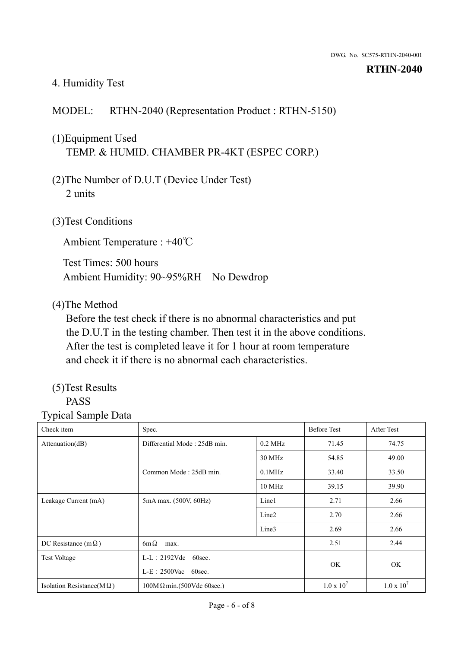#### 4. Humidity Test

## MODEL: RTHN-2040 (Representation Product : RTHN-5150)

# (1)Equipment Used TEMP. & HUMID. CHAMBER PR-4KT (ESPEC CORP.)

- (2)The Number of D.U.T (Device Under Test) 2 units
- (3)Test Conditions

Ambient Temperature : +40℃

Test Times: 500 hours Ambient Humidity: 90~95%RH No Dewdrop

#### (4)The Method

Before the test check if there is no abnormal characteristics and put the D.U.T in the testing chamber. Then test it in the above conditions. After the test is completed leave it for 1 hour at room temperature and check it if there is no abnormal each characteristics.

#### (5)Test Results PASS

| Check item                        | Spec.                            |                   | <b>Before Test</b>  | After Test          |
|-----------------------------------|----------------------------------|-------------------|---------------------|---------------------|
| Attenuation(dB)                   | Differential Mode: 25dB min.     | $0.2$ MHz         | 71.45               | 74.75               |
|                                   |                                  | 30 MHz            | 54.85               | 49.00               |
|                                   | Common Mode: 25dB min.           | $0.1$ MHz         | 33.40               | 33.50               |
|                                   |                                  | 10 MHz            | 39.15               | 39.90               |
| Leakage Current (mA)              | 5mA max. (500V, 60Hz)            | Line1             | 2.71                | 2.66                |
|                                   |                                  | Line <sub>2</sub> | 2.70                | 2.66                |
|                                   |                                  | Line3             | 2.69                | 2.66                |
| DC Resistance (m $\Omega$ )       | $6m\Omega$<br>max.               |                   | 2.51                | 2.44                |
| <b>Test Voltage</b>               | $L-L: 2192Vdc$<br>60sec.         |                   |                     |                     |
|                                   | $L-E$ : 2500Vac 60sec.           |                   | OK                  | OK                  |
| Isolation Resistance(M $\Omega$ ) | $100M\Omega$ min.(500Vdc 60sec.) |                   | $1.0 \times 10^{7}$ | $1.0 \times 10^{7}$ |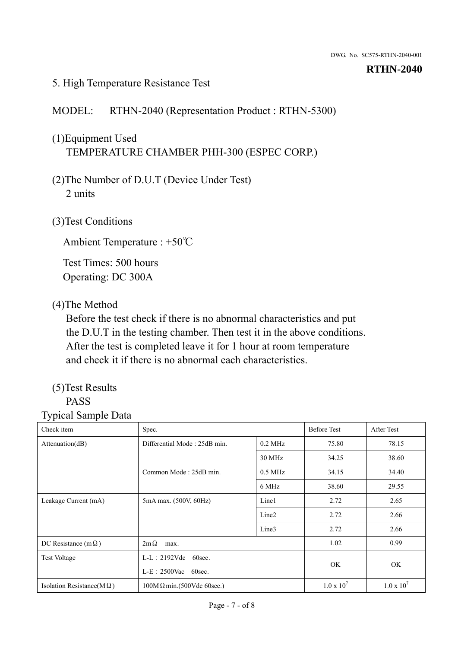#### 5. High Temperature Resistance Test

#### MODEL: RTHN-2040 (Representation Product : RTHN-5300)

# (1)Equipment Used TEMPERATURE CHAMBER PHH-300 (ESPEC CORP.)

- (2)The Number of D.U.T (Device Under Test) 2 units
- (3)Test Conditions

Ambient Temperature : +50℃

Test Times: 500 hours Operating: DC 300A

#### (4)The Method

Before the test check if there is no abnormal characteristics and put the D.U.T in the testing chamber. Then test it in the above conditions. After the test is completed leave it for 1 hour at room temperature and check it if there is no abnormal each characteristics.

#### (5)Test Results PASS

| Check item                        | Spec.                            |                        |                   | After Test        |
|-----------------------------------|----------------------------------|------------------------|-------------------|-------------------|
| Attenuation(dB)                   | Differential Mode: 25dB min.     | $0.2$ MHz              | 75.80             | 78.15             |
|                                   |                                  | 30 MHz                 | 34.25             | 38.60             |
|                                   | Common Mode: 25dB min.           | $0.5$ MHz              | 34.15             | 34.40             |
|                                   |                                  | 6 MHz                  | 38.60             | 29.55             |
| Leakage Current (mA)              | 5mA max. (500V, 60Hz)            | Line1                  | 2.72              | 2.65              |
|                                   |                                  | Line <sub>2</sub>      | 2.72              | 2.66              |
|                                   |                                  | Line3                  | 2.72              | 2.66              |
| DC Resistance (m $\Omega$ )       | $2m\Omega$<br>max.               |                        |                   | 0.99              |
| <b>Test Voltage</b>               | $L-L$ : 2192Vdc 60sec.           | $L-E$ : 2500Vac 60sec. |                   |                   |
|                                   |                                  |                        |                   | <b>OK</b>         |
| Isolation Resistance( $M\Omega$ ) | $100M\Omega$ min.(500Vdc 60sec.) |                        | $1.0 \times 10^7$ | $1.0 \times 10^7$ |